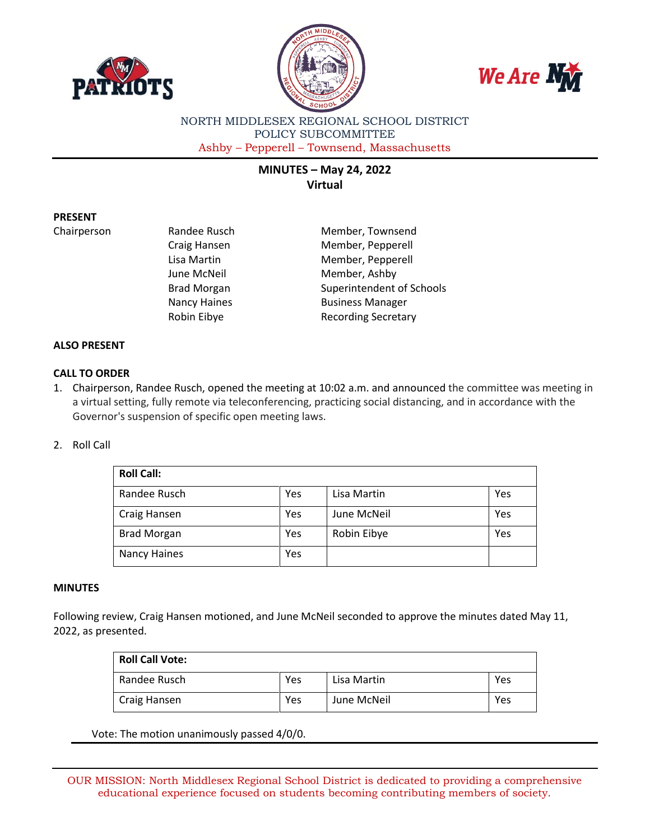





NORTH MIDDLESEX REGIONAL SCHOOL DISTRICT POLICY SUBCOMMITTEE Ashby – Pepperell – Townsend, Massachusetts

# **MINUTES – May 24, 2022 Virtual**

# **PRESENT**

Chairperson Randee Rusch Member, Townsend Craig Hansen Member, Pepperell Lisa Martin Member, Pepperell June McNeil **Member**, Ashby Brad Morgan Superintendent of Schools Nancy Haines **Business Manager** Robin Eibye **Recording Secretary** 

### **ALSO PRESENT**

# **CALL TO ORDER**

1. Chairperson, Randee Rusch, opened the meeting at 10:02 a.m. and announced the committee was meeting in a virtual setting, fully remote via teleconferencing, practicing social distancing, and in accordance with the Governor's suspension of specific open meeting laws.

#### 2. Roll Call

| <b>Roll Call:</b>  |     |             |     |  |  |
|--------------------|-----|-------------|-----|--|--|
| Randee Rusch       | Yes | Lisa Martin | Yes |  |  |
| Craig Hansen       | Yes | June McNeil | Yes |  |  |
| <b>Brad Morgan</b> | Yes | Robin Eibye | Yes |  |  |
| Nancy Haines       | Yes |             |     |  |  |

#### **MINUTES**

Following review, Craig Hansen motioned, and June McNeil seconded to approve the minutes dated May 11, 2022, as presented.

| <b>Roll Call Vote:</b> |     |             |     |  |  |
|------------------------|-----|-------------|-----|--|--|
| Randee Rusch           | Yes | Lisa Martin | Yes |  |  |
| Craig Hansen           | Yes | June McNeil | Yes |  |  |

Vote: The motion unanimously passed 4/0/0.

OUR MISSION: North Middlesex Regional School District is dedicated to providing a comprehensive educational experience focused on students becoming contributing members of society.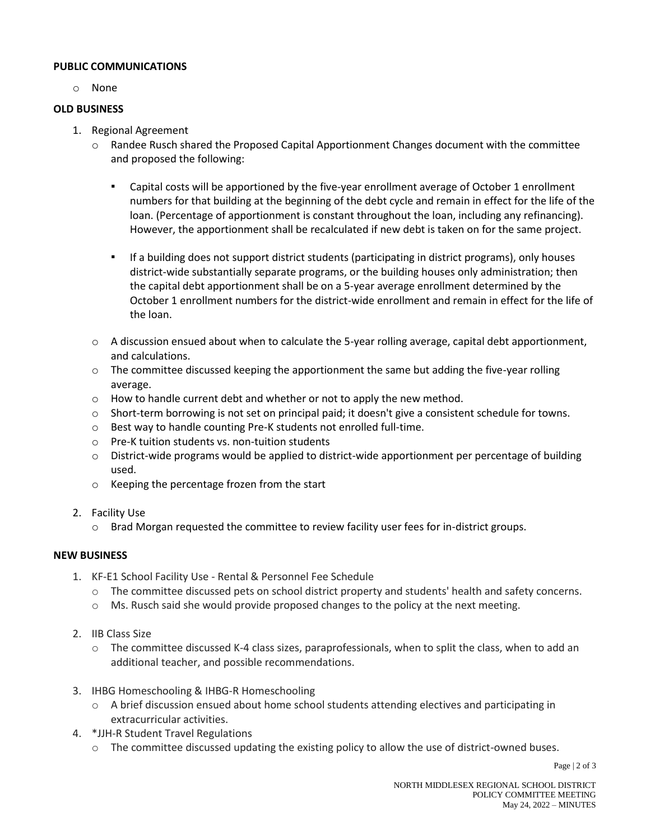## **PUBLIC COMMUNICATIONS**

o None

### **OLD BUSINESS**

- 1. Regional Agreement
	- $\circ$  Randee Rusch shared the Proposed Capital Apportionment Changes document with the committee and proposed the following:
		- Capital costs will be apportioned by the five-year enrollment average of October 1 enrollment numbers for that building at the beginning of the debt cycle and remain in effect for the life of the loan. (Percentage of apportionment is constant throughout the loan, including any refinancing). However, the apportionment shall be recalculated if new debt is taken on for the same project.
		- If a building does not support district students (participating in district programs), only houses district-wide substantially separate programs, or the building houses only administration; then the capital debt apportionment shall be on a 5-year average enrollment determined by the October 1 enrollment numbers for the district-wide enrollment and remain in effect for the life of the loan.
	- $\circ$  A discussion ensued about when to calculate the 5-year rolling average, capital debt apportionment, and calculations.
	- $\circ$  The committee discussed keeping the apportionment the same but adding the five-year rolling average.
	- $\circ$  How to handle current debt and whether or not to apply the new method.
	- o Short-term borrowing is not set on principal paid; it doesn't give a consistent schedule for towns.
	- o Best way to handle counting Pre-K students not enrolled full-time.
	- o Pre-K tuition students vs. non-tuition students
	- $\circ$  District-wide programs would be applied to district-wide apportionment per percentage of building used.
	- o Keeping the percentage frozen from the start
- 2. Facility Use
	- o Brad Morgan requested the committee to review facility user fees for in-district groups.

## **NEW BUSINESS**

- 1. KF-E1 School Facility Use Rental & Personnel Fee Schedule
	- o The committee discussed pets on school district property and students' health and safety concerns.
	- o Ms. Rusch said she would provide proposed changes to the policy at the next meeting.
- 2. IIB Class Size
	- o The committee discussed K-4 class sizes, paraprofessionals, when to split the class, when to add an additional teacher, and possible recommendations.
- 3. IHBG Homeschooling & IHBG-R Homeschooling
	- o A brief discussion ensued about home school students attending electives and participating in extracurricular activities.
- 4. \*JJH-R Student Travel Regulations
	- $\circ$  The committee discussed updating the existing policy to allow the use of district-owned buses.